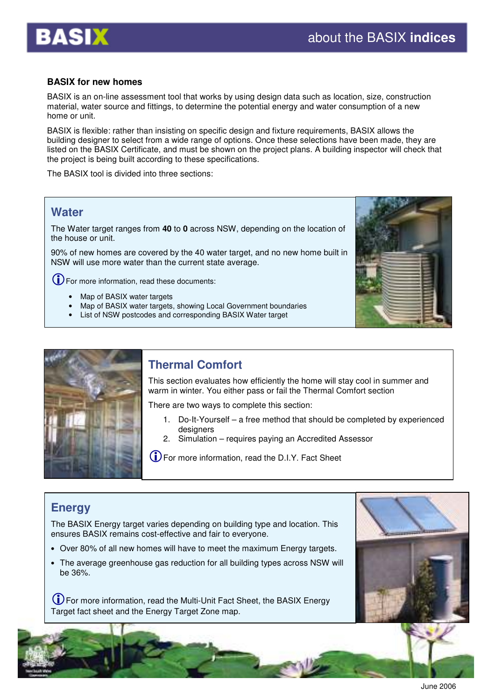

#### **BASIX for new homes**

BASIX is an on-line assessment tool that works by using design data such as location, size, construction material, water source and fittings, to determine the potential energy and water consumption of a new home or unit.

BASIX is flexible: rather than insisting on specific design and fixture requirements, BASIX allows the building designer to select from a wide range of options. Once these selections have been made, they are listed on the BASIX Certificate, and must be shown on the project plans. A building inspector will check that the project is being built according to these specifications.

The BASIX tool is divided into three sections:

## **Water**

The Water target ranges from **40** to **0** across NSW, depending on the location of the house or unit.

90% of new homes are covered by the 40 water target, and no new home built in NSW will use more water than the current state average.

For more information, read these documents:

- Map of BASIX water targets
- Map of BASIX water targets, showing Local Government boundaries
- List of NSW postcodes and corresponding BASIX Water target





# **Thermal Comfort**

This section evaluates how efficiently the home will stay cool in summer and warm in winter. You either pass or fail the Thermal Comfort section

There are two ways to complete this section:

- 1. Do-It-Yourself a free method that should be completed by experienced designers
- 2. Simulation requires paying an Accredited Assessor

For more information, read the D.I.Y. Fact Sheet

# **Energy**

The BASIX Energy target varies depending on building type and location. This ensures BASIX remains cost-effective and fair to everyone.

- Over 80% of all new homes will have to meet the maximum Energy targets.
- The average greenhouse gas reduction for all building types across NSW will be 36%.

For more information, read the Multi-Unit Fact Sheet, the BASIX Energy Target fact sheet and the Energy Target Zone map.